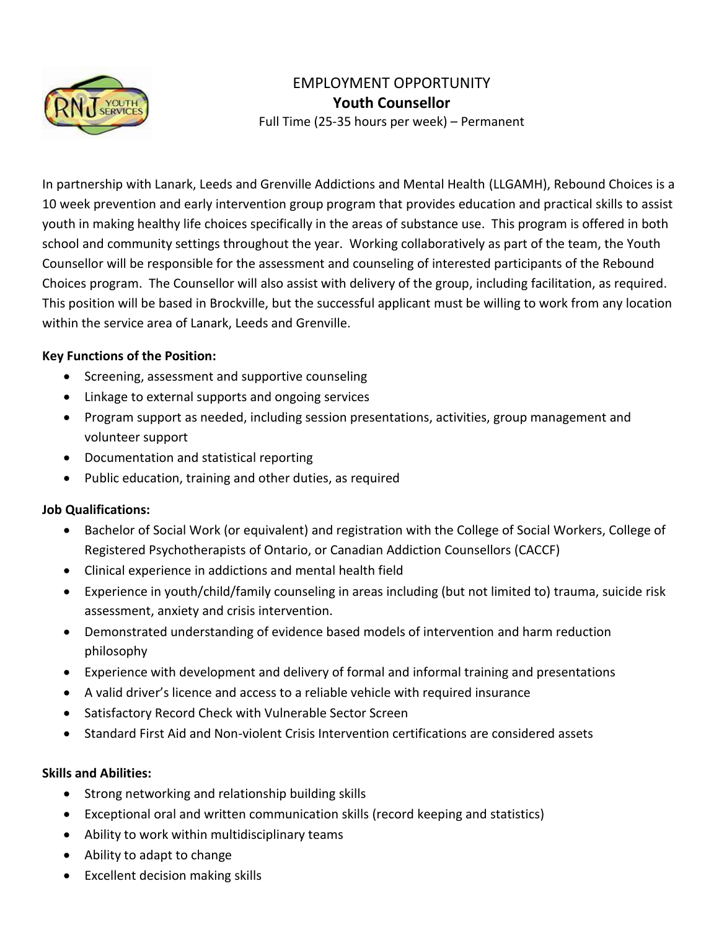

# EMPLOYMENT OPPORTUNITY **Youth Counsellor**

Full Time (25-35 hours per week) – Permanent

In partnership with Lanark, Leeds and Grenville Addictions and Mental Health (LLGAMH), Rebound Choices is a 10 week prevention and early intervention group program that provides education and practical skills to assist youth in making healthy life choices specifically in the areas of substance use. This program is offered in both school and community settings throughout the year. Working collaboratively as part of the team, the Youth Counsellor will be responsible for the assessment and counseling of interested participants of the Rebound Choices program. The Counsellor will also assist with delivery of the group, including facilitation, as required. This position will be based in Brockville, but the successful applicant must be willing to work from any location within the service area of Lanark, Leeds and Grenville.

### **Key Functions of the Position:**

- Screening, assessment and supportive counseling
- Linkage to external supports and ongoing services
- Program support as needed, including session presentations, activities, group management and volunteer support
- Documentation and statistical reporting
- Public education, training and other duties, as required

#### **Job Qualifications:**

- Bachelor of Social Work (or equivalent) and registration with the College of Social Workers, College of Registered Psychotherapists of Ontario, or Canadian Addiction Counsellors (CACCF)
- Clinical experience in addictions and mental health field
- Experience in youth/child/family counseling in areas including (but not limited to) trauma, suicide risk assessment, anxiety and crisis intervention.
- Demonstrated understanding of evidence based models of intervention and harm reduction philosophy
- Experience with development and delivery of formal and informal training and presentations
- A valid driver's licence and access to a reliable vehicle with required insurance
- Satisfactory Record Check with Vulnerable Sector Screen
- Standard First Aid and Non-violent Crisis Intervention certifications are considered assets

#### **Skills and Abilities:**

- Strong networking and relationship building skills
- Exceptional oral and written communication skills (record keeping and statistics)
- Ability to work within multidisciplinary teams
- Ability to adapt to change
- Excellent decision making skills